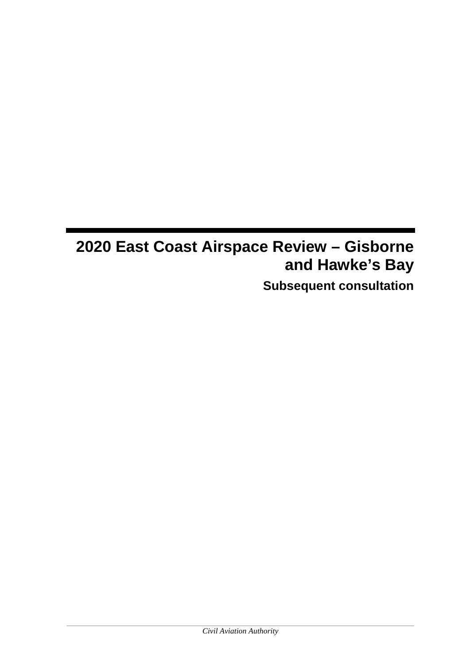# **2020 East Coast Airspace Review – Gisborne and Hawke's Bay Subsequent consultation**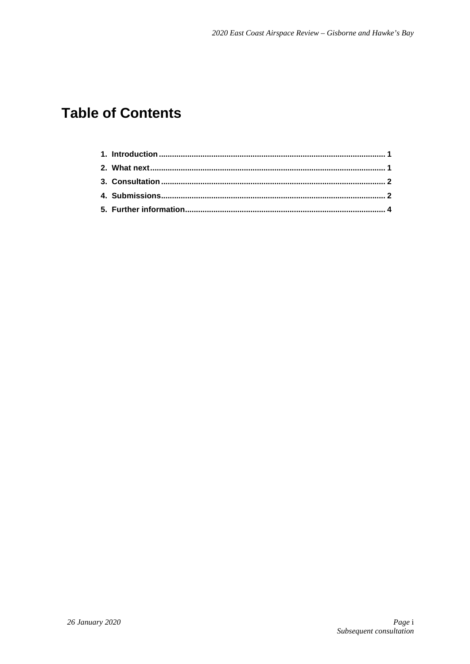## **Table of Contents**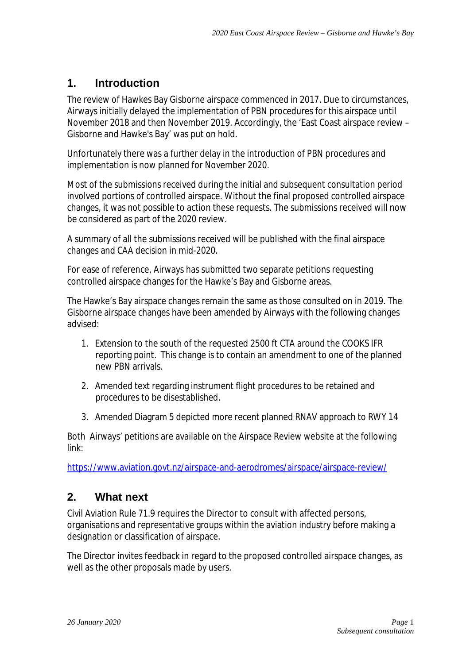### **1. Introduction**

The review of Hawkes Bay Gisborne airspace commenced in 2017. Due to circumstances, Airways initially delayed the implementation of PBN procedures for this airspace until November 2018 and then November 2019. Accordingly, the 'East Coast airspace review – Gisborne and Hawke's Bay' was put on hold.

Unfortunately there was a further delay in the introduction of PBN procedures and implementation is now planned for November 2020.

Most of the submissions received during the initial and subsequent consultation period involved portions of controlled airspace. Without the final proposed controlled airspace changes, it was not possible to action these requests. The submissions received will now be considered as part of the 2020 review.

A summary of all the submissions received will be published with the final airspace changes and CAA decision in mid-2020.

For ease of reference, Airways has submitted two separate petitions requesting controlled airspace changes for the Hawke's Bay and Gisborne areas.

The Hawke's Bay airspace changes remain the same as those consulted on in 2019. The Gisborne airspace changes have been amended by Airways with the following changes advised:

- 1. Extension to the south of the requested 2500 ft CTA around the COOKS IFR reporting point. This change is to contain an amendment to one of the planned new PBN arrivals.
- 2. Amended text regarding instrument flight procedures to be retained and procedures to be disestablished.
- 3. Amended Diagram 5 depicted more recent planned RNAV approach to RWY 14

Both Airways' petitions are available on the Airspace Review website at the following link:

<https://www.aviation.govt.nz/airspace-and-aerodromes/airspace/airspace-review/>

### **2. What next**

Civil Aviation Rule 71.9 requires the Director to consult with affected persons, organisations and representative groups within the aviation industry before making a designation or classification of airspace.

The Director invites feedback in regard to the proposed controlled airspace changes, as well as the other proposals made by users.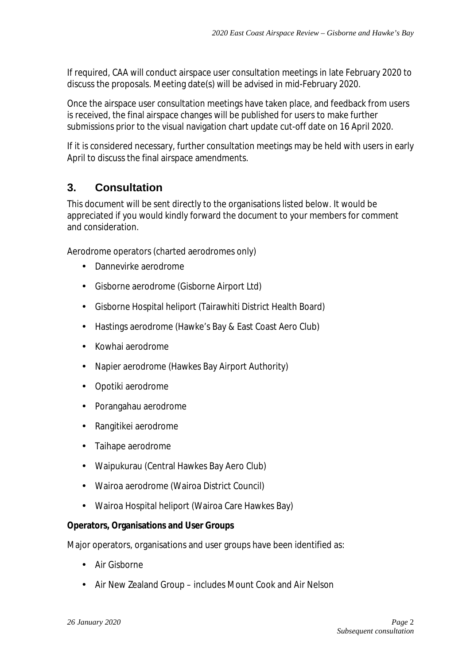If required, CAA will conduct airspace user consultation meetings in late February 2020 to discuss the proposals. Meeting date(s) will be advised in mid-February 2020.

Once the airspace user consultation meetings have taken place, and feedback from users is received, the final airspace changes will be published for users to make further submissions prior to the visual navigation chart update cut-off date on 16 April 2020.

If it is considered necessary, further consultation meetings may be held with users in early April to discuss the final airspace amendments.

### **3. Consultation**

This document will be sent directly to the organisations listed below. It would be appreciated if you would kindly forward the document to your members for comment and consideration.

Aerodrome operators (charted aerodromes only)

- Dannevirke aerodrome  $\mathbf{r}$
- Gisborne aerodrome (Gisborne Airport Ltd)  $\mathbf{r}$
- Gisborne Hospital heliport (Tairawhiti District Health Board)  $\mathbf{r}^{\prime}$
- Hastings aerodrome (Hawke's Bay & East Coast Aero Club)
- Kowhai aerodrome  $\mathbf{r}$
- Napier aerodrome (Hawkes Bay Airport Authority)  $\mathbf{r}$
- Opotiki aerodrome  $\mathbf{r}$
- Porangahau aerodrome
- Rangitikei aerodrome  $\mathbf{r}$
- Taihape aerodrome  $\mathbf{r}^{\prime}$
- Waipukurau (Central Hawkes Bay Aero Club)  $\mathbf{r}$
- Wairoa aerodrome (Wairoa District Council)
- $\mathbf{r}^{\prime}$ Wairoa Hospital heliport (Wairoa Care Hawkes Bay)

#### **Operators, Organisations and User Groups**

Major operators, organisations and user groups have been identified as:

- Air Gisborne
- Air New Zealand Group includes Mount Cook and Air Nelson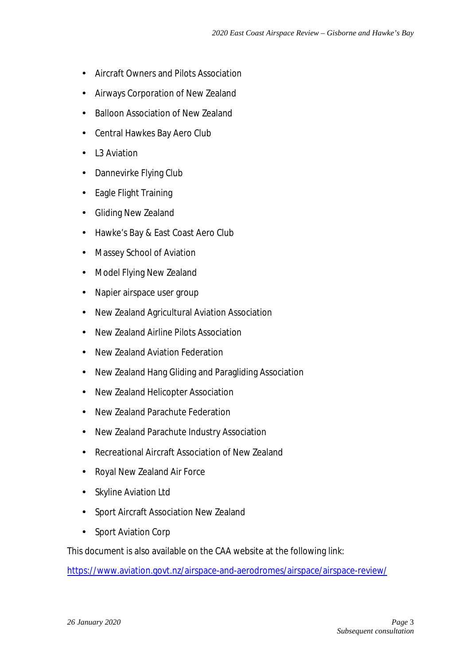- Aircraft Owners and Pilots Association
- Airways Corporation of New Zealand  $\mathbf{r}^{\prime}$
- Balloon Association of New Zealand  $\mathbf{r}$
- Central Hawkes Bay Aero Club  $\mathbf{r}^{\prime}$
- $\mathbf{r}$ L3 Aviation
- Dannevirke Flying Club  $\mathbf{r}$
- $\mathbf{r}$ Eagle Flight Training
- Gliding New Zealand  $\mathbf{r}^{\prime}$
- $\mathbf{r}^{\prime}$ Hawke's Bay & East Coast Aero Club
- Massey School of Aviation χ.
- Model Flying New Zealand  $\mathbf{r}$
- Napier airspace user group  $\sim$
- New Zealand Agricultural Aviation Association  $\mathbf{r}$
- New Zealand Airline Pilots Association  $\mathbf{r}$
- New Zealand Aviation Federation  $\mathbf{r}$
- New Zealand Hang Gliding and Paragliding Association  $\sim$
- New Zealand Helicopter Association  $\mathbf{L}^{\mathcal{A}}$
- New Zealand Parachute Federation χ.
- New Zealand Parachute Industry Association  $\mathbf{r}$
- χ. Recreational Aircraft Association of New Zealand
- Royal New Zealand Air Force  $\mathbf{r}$
- Skyline Aviation Ltd  $\mathbf{r}$
- $\mathbf{r}$ Sport Aircraft Association New Zealand
- Sport Aviation Corp ä,

This document is also available on the CAA website at the following link:

<https://www.aviation.govt.nz/airspace-and-aerodromes/airspace/airspace-review/>